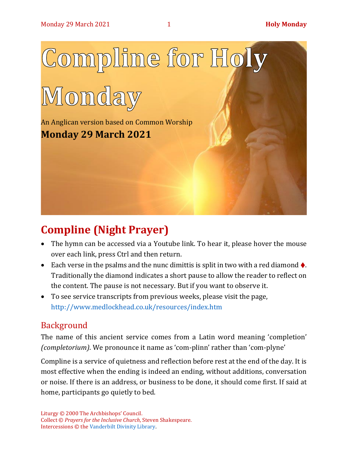

# **Compline (Night Prayer)**

- The hymn can be accessed via a Youtube link. To hear it, please hover the mouse over each link, press Ctrl and then return.
- Each verse in the psalms and the nunc dimittis is split in two with a red diamond  $\bullet$ . Traditionally the diamond indicates a short pause to allow the reader to reflect on the content. The pause is not necessary. But if you want to observe it.
- To see service transcripts from previous weeks, please visit the page, <http://www.medlockhead.co.uk/resources/index.htm>

## Background

The name of this ancient service comes from a Latin word meaning 'completion' *(completorium)*. We pronounce it name as 'com-plinn' rather than 'com-plyne'

Compline is a service of quietness and reflection before rest at the end of the day. It is most effective when the ending is indeed an ending, without additions, conversation or noise. If there is an address, or business to be done, it should come first. If said at home, participants go quietly to bed.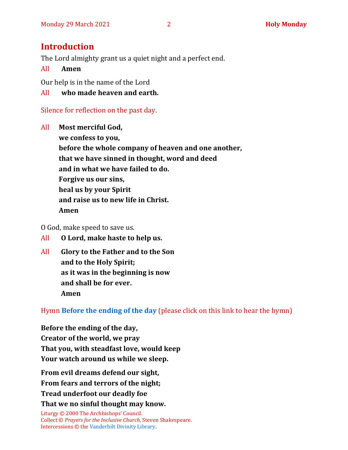## **Introduction**

The Lord almighty grant us a quiet night and a perfect end.

All **Amen**

Our help is in the name of the Lord

All **who made heaven and earth.**

Silence for reflection on the past day.

All **Most merciful God, we confess to you, before the whole company of heaven and one another, that we have sinned in thought, word and deed and in what we have failed to do. Forgive us our sins, heal us by your Spirit and raise us to new life in Christ. Amen**

O God, make speed to save us.

All **O Lord, make haste to help us.**

All **Glory to the Father and to the Son and to the Holy Spirit; as it was in the beginning is now and shall be for ever. Amen**

Hymn **[Before the ending of the day](https://www.youtube.com/watch?v=3SiamHnQYmw)** (please click on this link to hear the hymn)

**Before the ending of the day, Creator of the world, we pray That you, with steadfast love, would keep Your watch around us while we sleep.**

**From evil dreams defend our sight, From fears and terrors of the night; Tread underfoot our deadly foe That we no sinful thought may know.**

Liturgy © 2000 The Archbishops' Council. Collect © *Prayers for the Inclusive Church*, Steven Shakespeare. Intercessions © the [Vanderbilt Divinity Library.](http://divinity.library.vanderbilt.edu/)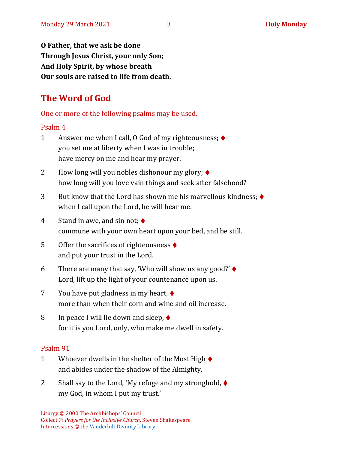**O Father, that we ask be done Through Jesus Christ, your only Son; And Holy Spirit, by whose breath Our souls are raised to life from death.**

## **The Word of God**

One or more of the following psalms may be used.

#### Psalm 4

- 1 Answer me when I call, O God of my righteousness; ♦ you set me at liberty when I was in trouble; have mercy on me and hear my prayer.
- 2 How long will you nobles dishonour my glory;  $\blacklozenge$ how long will you love vain things and seek after falsehood?
- 3 But know that the Lord has shown me his marvellous kindness; ♦ when I call upon the Lord, he will hear me.
- 4 Stand in awe, and sin not;  $\blacklozenge$ commune with your own heart upon your bed, and be still.
- 5 Offer the sacrifices of righteousness ♦ and put your trust in the Lord.
- 6 There are many that say, 'Who will show us any good?'  $\blacklozenge$ Lord, lift up the light of your countenance upon us.
- 7 You have put gladness in my heart, ♦ more than when their corn and wine and oil increase.
- 8 In peace I will lie down and sleep,  $\blacklozenge$ for it is you Lord, only, who make me dwell in safety.

#### Psalm 91

- 1 Whoever dwells in the shelter of the Most High  $\blacklozenge$ and abides under the shadow of the Almighty,
- 2 Shall say to the Lord, 'My refuge and my stronghold, ♦ my God, in whom I put my trust.'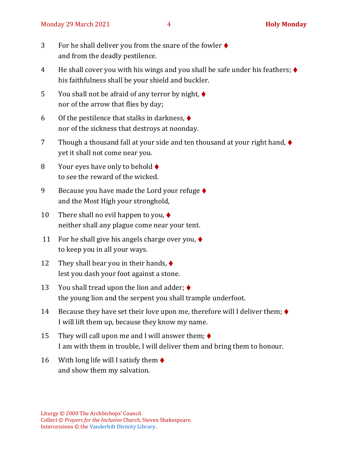- 3 For he shall deliver you from the snare of the fowler ♦ and from the deadly pestilence.
- 4 He shall cover you with his wings and you shall be safe under his feathers; ♦ his faithfulness shall be your shield and buckler.
- 5 You shall not be afraid of any terror by night,  $\blacklozenge$ nor of the arrow that flies by day;
- 6 Of the pestilence that stalks in darkness,  $\blacklozenge$ nor of the sickness that destroys at noonday.
- 7 Though a thousand fall at your side and ten thousand at your right hand, ♦ yet it shall not come near you.
- 8 Your eyes have only to behold  $\blacklozenge$ to see the reward of the wicked.
- 9 Because you have made the Lord your refuge  $\blacklozenge$ and the Most High your stronghold,
- 10 There shall no evil happen to you,  $\blacklozenge$ neither shall any plague come near your tent.
- 11 For he shall give his angels charge over you,  $\blacklozenge$ to keep you in all your ways.
- 12 They shall bear you in their hands,  $\blacklozenge$ lest you dash your foot against a stone.
- 13 You shall tread upon the lion and adder;  $\blacklozenge$ the young lion and the serpent you shall trample underfoot.
- 14 Because they have set their love upon me, therefore will I deliver them;  $\blacklozenge$ I will lift them up, because they know my name.
- 15 They will call upon me and I will answer them;  $\blacklozenge$ I am with them in trouble, I will deliver them and bring them to honour.
- 16 With long life will I satisfy them  $\blacklozenge$ and show them my salvation.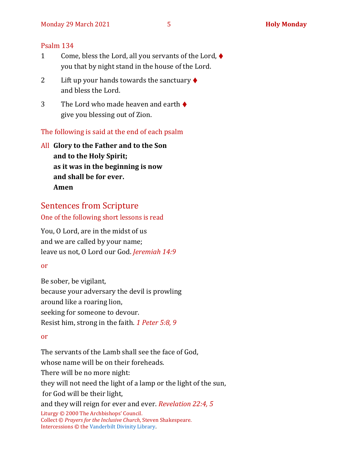#### Psalm 134

- 1 Come, bless the Lord, all you servants of the Lord, ♦ you that by night stand in the house of the Lord.
- 2 Lift up your hands towards the sanctuary  $\blacklozenge$ and bless the Lord.
- 3 The Lord who made heaven and earth  $\triangle$ give you blessing out of Zion.

The following is said at the end of each psalm

All **Glory to the Father and to the Son and to the Holy Spirit; as it was in the beginning is now and shall be for ever. Amen**

#### Sentences from Scripture

One of the following short lessons is read

You, O Lord, are in the midst of us and we are called by your name; leave us not, O Lord our God. *Jeremiah 14:9*

#### or

Be sober, be vigilant, because your adversary the devil is prowling around like a roaring lion, seeking for someone to devour. Resist him, strong in the faith. *1 Peter 5:8, 9*

#### or

Liturgy © 2000 The Archbishops' Council. Collect © *Prayers for the Inclusive Church*, Steven Shakespeare. Intercessions © the [Vanderbilt Divinity Library.](http://divinity.library.vanderbilt.edu/) The servants of the Lamb shall see the face of God, whose name will be on their foreheads. There will be no more night: they will not need the light of a lamp or the light of the sun, for God will be their light, and they will reign for ever and ever. *Revelation 22:4, 5*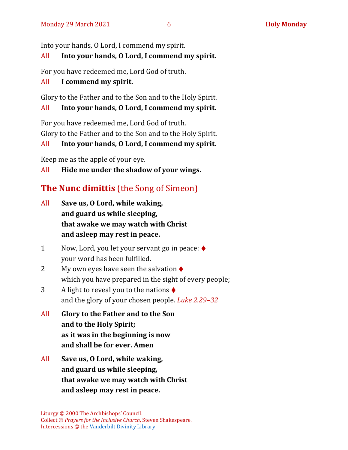Into your hands, O Lord, I commend my spirit.

### All **Into your hands, O Lord, I commend my spirit.**

For you have redeemed me, Lord God of truth.

#### All **I commend my spirit.**

Glory to the Father and to the Son and to the Holy Spirit.

#### All **Into your hands, O Lord, I commend my spirit.**

For you have redeemed me, Lord God of truth. Glory to the Father and to the Son and to the Holy Spirit.

#### All **Into your hands, O Lord, I commend my spirit.**

Keep me as the apple of your eye.

All **Hide me under the shadow of your wings.**

## **The Nunc dimittis** (the Song of Simeon)

- All **Save us, O Lord, while waking, and guard us while sleeping, that awake we may watch with Christ and asleep may rest in peace.**
- 1 Now, Lord, you let your servant go in peace: ♦ your word has been fulfilled.
- 2 My own eyes have seen the salvation  $\triangle$ which you have prepared in the sight of every people;
- 3 A light to reveal you to the nations ♦ and the glory of your chosen people. *Luke 2.29–32*
- All **Glory to the Father and to the Son and to the Holy Spirit; as it was in the beginning is now and shall be for ever. Amen**
- All **Save us, O Lord, while waking, and guard us while sleeping, that awake we may watch with Christ and asleep may rest in peace.**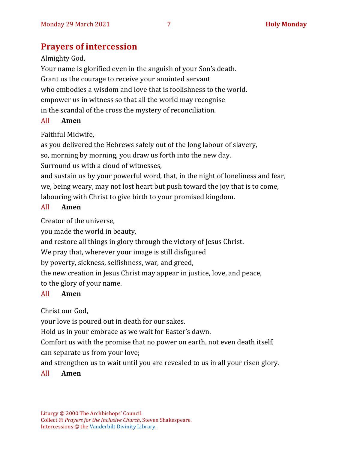## **Prayers of intercession**

#### Almighty God,

Your name is glorified even in the anguish of your Son's death. Grant us the courage to receive your anointed servant who embodies a wisdom and love that is foolishness to the world. empower us in witness so that all the world may recognise in the scandal of the cross the mystery of reconciliation.

#### All **Amen**

## Faithful Midwife,

as you delivered the Hebrews safely out of the long labour of slavery,

so, morning by morning, you draw us forth into the new day.

Surround us with a cloud of witnesses,

and sustain us by your powerful word, that, in the night of loneliness and fear, we, being weary, may not lost heart but push toward the joy that is to come, labouring with Christ to give birth to your promised kingdom.

### All **Amen**

Creator of the universe,

you made the world in beauty,

and restore all things in glory through the victory of Jesus Christ.

We pray that, wherever your image is still disfigured

by poverty, sickness, selfishness, war, and greed,

the new creation in Jesus Christ may appear in justice, love, and peace, to the glory of your name.

## All **Amen**

Christ our God,

your love is poured out in death for our sakes.

Hold us in your embrace as we wait for Easter's dawn.

Comfort us with the promise that no power on earth, not even death itself, can separate us from your love;

and strengthen us to wait until you are revealed to us in all your risen glory.

### All **Amen**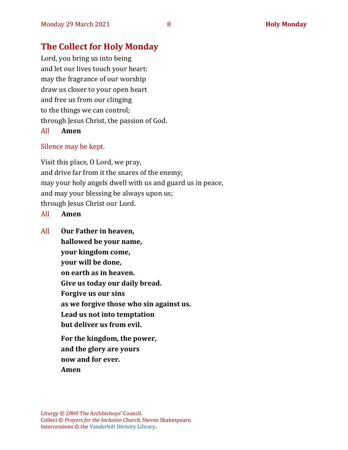## **The Collect for Holy Monday**

Lord, you bring us into being and let our lives touch your heart: may the fragrance of our worship draw us closer to your open heart and free us from our clinging to the things we can control; through Jesus Christ, the passion of God. All **Amen**

# Silence may be kept.

Visit this place, O Lord, we pray, and drive far from it the snares of the enemy; may your holy angels dwell with us and guard us in peace, and may your blessing be always upon us; through Jesus Christ our Lord.

- All **Amen**
- All **Our Father in heaven, hallowed be your name, your kingdom come, your will be done, on earth as in heaven. Give us today our daily bread. Forgive us our sins as we forgive those who sin against us. Lead us not into temptation but deliver us from evil. For the kingdom, the power, and the glory are yours now and for ever. Amen**